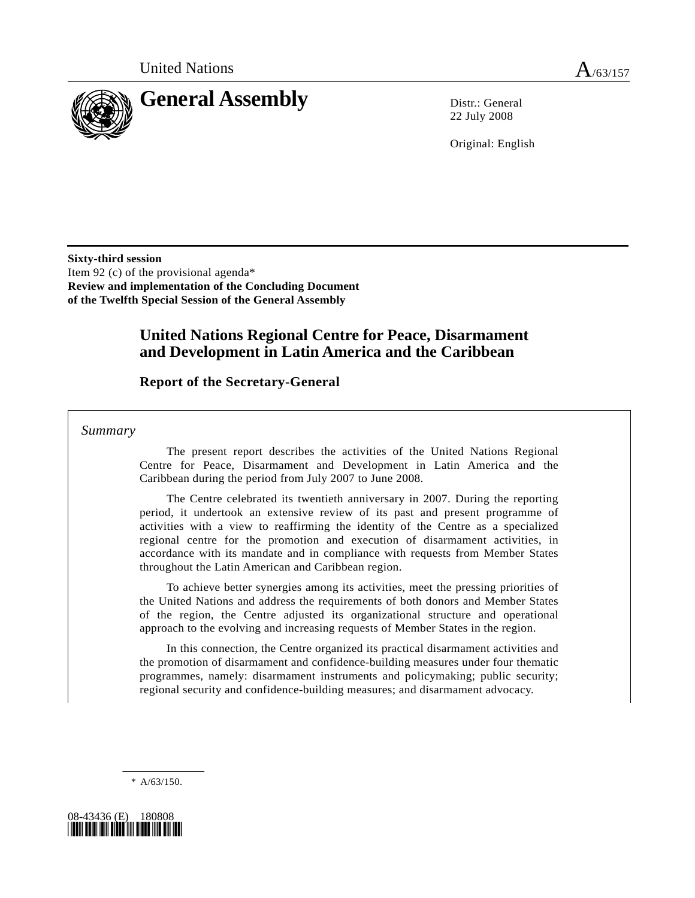

22 July 2008

Original: English

**Sixty-third session**  Item 92 (c) of the provisional agenda\* **Review and implementation of the Concluding Document of the Twelfth Special Session of the General Assembly** 

# **United Nations Regional Centre for Peace, Disarmament and Development in Latin America and the Caribbean**

### **Report of the Secretary-General**

 *Summary* 

 The present report describes the activities of the United Nations Regional Centre for Peace, Disarmament and Development in Latin America and the Caribbean during the period from July 2007 to June 2008.

 The Centre celebrated its twentieth anniversary in 2007. During the reporting period, it undertook an extensive review of its past and present programme of activities with a view to reaffirming the identity of the Centre as a specialized regional centre for the promotion and execution of disarmament activities, in accordance with its mandate and in compliance with requests from Member States throughout the Latin American and Caribbean region.

 To achieve better synergies among its activities, meet the pressing priorities of the United Nations and address the requirements of both donors and Member States of the region, the Centre adjusted its organizational structure and operational approach to the evolving and increasing requests of Member States in the region.

 In this connection, the Centre organized its practical disarmament activities and the promotion of disarmament and confidence-building measures under four thematic programmes, namely: disarmament instruments and policymaking; public security; regional security and confidence-building measures; and disarmament advocacy.

\* A/63/150.

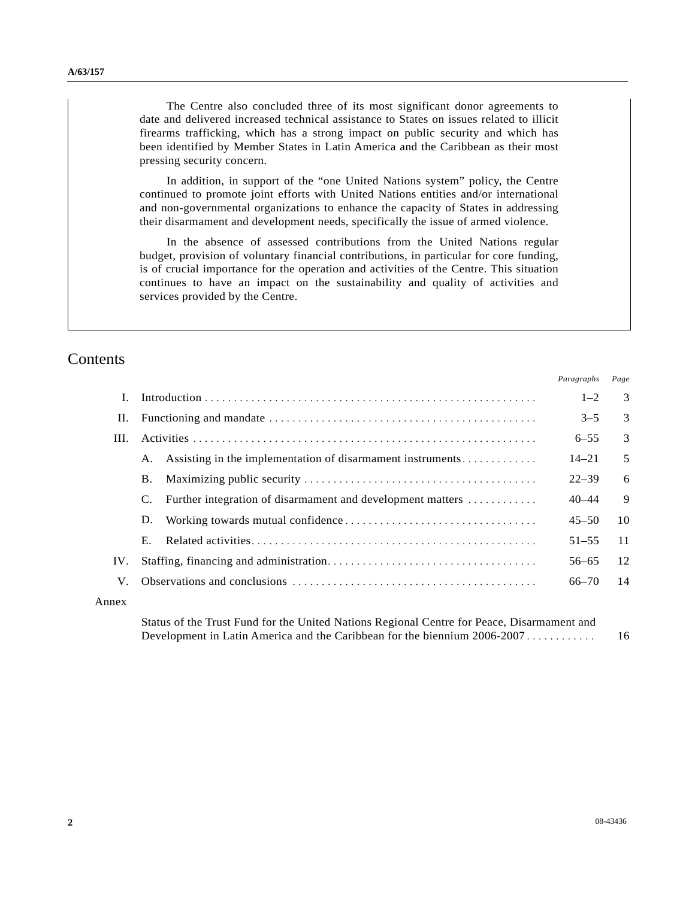The Centre also concluded three of its most significant donor agreements to date and delivered increased technical assistance to States on issues related to illicit firearms trafficking, which has a strong impact on public security and which has been identified by Member States in Latin America and the Caribbean as their most pressing security concern.

 In addition, in support of the "one United Nations system" policy, the Centre continued to promote joint efforts with United Nations entities and/or international and non-governmental organizations to enhance the capacity of States in addressing their disarmament and development needs, specifically the issue of armed violence.

 In the absence of assessed contributions from the United Nations regular budget, provision of voluntary financial contributions, in particular for core funding, is of crucial importance for the operation and activities of the Centre. This situation continues to have an impact on the sustainability and quality of activities and services provided by the Centre.

### **Contents**

|       |                                                               | Paragraphs | Page |
|-------|---------------------------------------------------------------|------------|------|
|       |                                                               | $1 - 2$    | 3    |
| П.    |                                                               | $3 - 5$    | 3    |
| III.  |                                                               | $6 - 55$   | 3    |
|       | A. Assisting in the implementation of disarmament instruments | $14 - 21$  | 5    |
|       | <b>B.</b>                                                     | $22 - 39$  | 6    |
|       | Further integration of disarmament and development matters    | $40 - 44$  | 9    |
|       | D.                                                            | $45 - 50$  | 10   |
|       | Е.                                                            | $51 - 55$  | 11   |
| IV.   |                                                               | $56 - 65$  | 12   |
| V.    |                                                               | $66 - 70$  | 14   |
| Annex |                                                               |            |      |

Status of the Trust Fund for the United Nations Regional Centre for Peace, Disarmament and Development in Latin America and the Caribbean for the biennium 2006-2007 ............ 16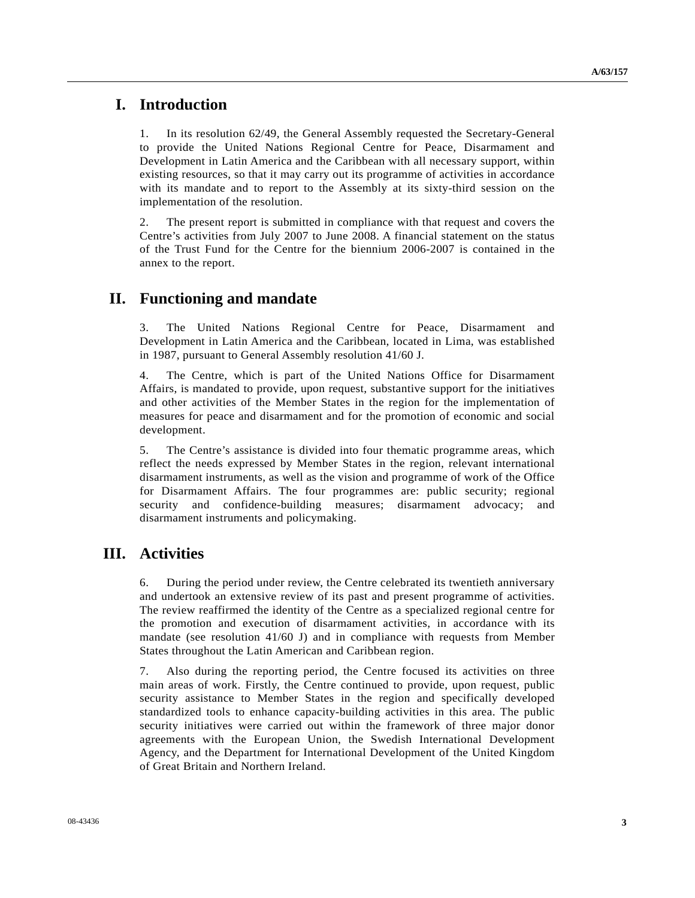### **I. Introduction**

1. In its resolution 62/49, the General Assembly requested the Secretary-General to provide the United Nations Regional Centre for Peace, Disarmament and Development in Latin America and the Caribbean with all necessary support, within existing resources, so that it may carry out its programme of activities in accordance with its mandate and to report to the Assembly at its sixty-third session on the implementation of the resolution.

2. The present report is submitted in compliance with that request and covers the Centre's activities from July 2007 to June 2008. A financial statement on the status of the Trust Fund for the Centre for the biennium 2006-2007 is contained in the annex to the report.

# **II. Functioning and mandate**

3. The United Nations Regional Centre for Peace, Disarmament and Development in Latin America and the Caribbean, located in Lima, was established in 1987, pursuant to General Assembly resolution 41/60 J.

4. The Centre, which is part of the United Nations Office for Disarmament Affairs, is mandated to provide, upon request, substantive support for the initiatives and other activities of the Member States in the region for the implementation of measures for peace and disarmament and for the promotion of economic and social development.

5. The Centre's assistance is divided into four thematic programme areas, which reflect the needs expressed by Member States in the region, relevant international disarmament instruments, as well as the vision and programme of work of the Office for Disarmament Affairs. The four programmes are: public security; regional security and confidence-building measures; disarmament advocacy; and disarmament instruments and policymaking.

# **III. Activities**

6. During the period under review, the Centre celebrated its twentieth anniversary and undertook an extensive review of its past and present programme of activities. The review reaffirmed the identity of the Centre as a specialized regional centre for the promotion and execution of disarmament activities, in accordance with its mandate (see resolution 41/60 J) and in compliance with requests from Member States throughout the Latin American and Caribbean region.

7. Also during the reporting period, the Centre focused its activities on three main areas of work. Firstly, the Centre continued to provide, upon request, public security assistance to Member States in the region and specifically developed standardized tools to enhance capacity-building activities in this area. The public security initiatives were carried out within the framework of three major donor agreements with the European Union, the Swedish International Development Agency, and the Department for International Development of the United Kingdom of Great Britain and Northern Ireland.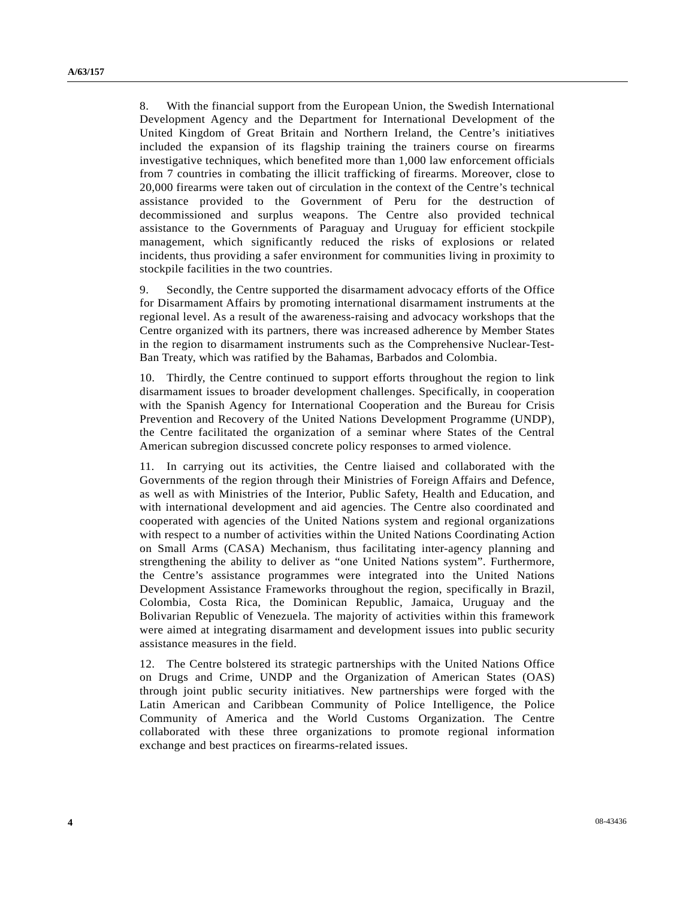8. With the financial support from the European Union, the Swedish International Development Agency and the Department for International Development of the United Kingdom of Great Britain and Northern Ireland, the Centre's initiatives included the expansion of its flagship training the trainers course on firearms investigative techniques, which benefited more than 1,000 law enforcement officials from 7 countries in combating the illicit trafficking of firearms. Moreover, close to 20,000 firearms were taken out of circulation in the context of the Centre's technical assistance provided to the Government of Peru for the destruction of decommissioned and surplus weapons. The Centre also provided technical assistance to the Governments of Paraguay and Uruguay for efficient stockpile management, which significantly reduced the risks of explosions or related incidents, thus providing a safer environment for communities living in proximity to stockpile facilities in the two countries.

9. Secondly, the Centre supported the disarmament advocacy efforts of the Office for Disarmament Affairs by promoting international disarmament instruments at the regional level. As a result of the awareness-raising and advocacy workshops that the Centre organized with its partners, there was increased adherence by Member States in the region to disarmament instruments such as the Comprehensive Nuclear-Test-Ban Treaty, which was ratified by the Bahamas, Barbados and Colombia.

10. Thirdly, the Centre continued to support efforts throughout the region to link disarmament issues to broader development challenges. Specifically, in cooperation with the Spanish Agency for International Cooperation and the Bureau for Crisis Prevention and Recovery of the United Nations Development Programme (UNDP), the Centre facilitated the organization of a seminar where States of the Central American subregion discussed concrete policy responses to armed violence.

11. In carrying out its activities, the Centre liaised and collaborated with the Governments of the region through their Ministries of Foreign Affairs and Defence, as well as with Ministries of the Interior, Public Safety, Health and Education, and with international development and aid agencies. The Centre also coordinated and cooperated with agencies of the United Nations system and regional organizations with respect to a number of activities within the United Nations Coordinating Action on Small Arms (CASA) Mechanism, thus facilitating inter-agency planning and strengthening the ability to deliver as "one United Nations system". Furthermore, the Centre's assistance programmes were integrated into the United Nations Development Assistance Frameworks throughout the region, specifically in Brazil, Colombia, Costa Rica, the Dominican Republic, Jamaica, Uruguay and the Bolivarian Republic of Venezuela. The majority of activities within this framework were aimed at integrating disarmament and development issues into public security assistance measures in the field.

12. The Centre bolstered its strategic partnerships with the United Nations Office on Drugs and Crime, UNDP and the Organization of American States (OAS) through joint public security initiatives. New partnerships were forged with the Latin American and Caribbean Community of Police Intelligence, the Police Community of America and the World Customs Organization. The Centre collaborated with these three organizations to promote regional information exchange and best practices on firearms-related issues.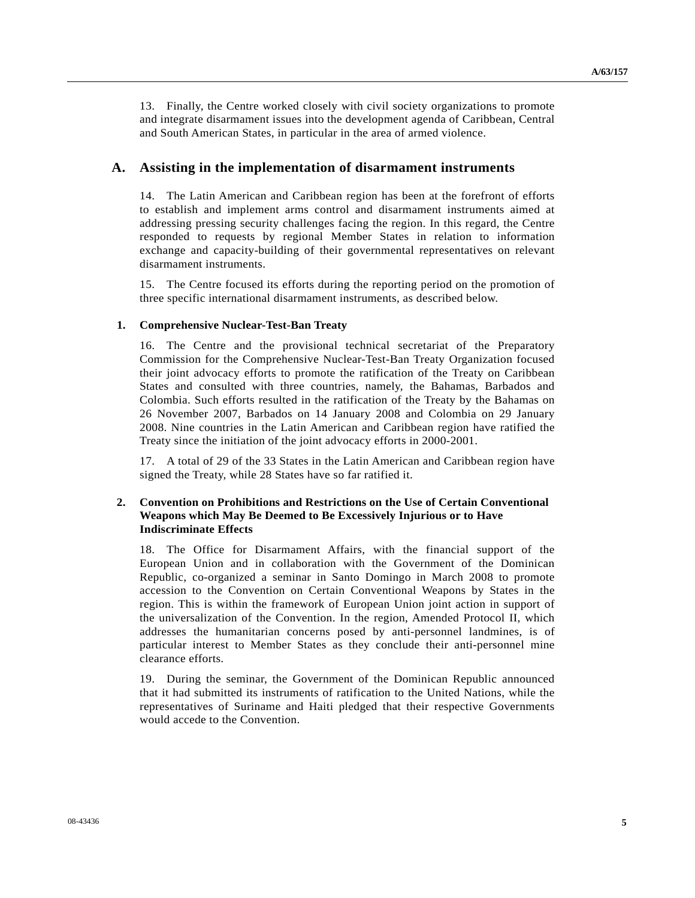13. Finally, the Centre worked closely with civil society organizations to promote and integrate disarmament issues into the development agenda of Caribbean, Central and South American States, in particular in the area of armed violence.

#### **A. Assisting in the implementation of disarmament instruments**

14. The Latin American and Caribbean region has been at the forefront of efforts to establish and implement arms control and disarmament instruments aimed at addressing pressing security challenges facing the region. In this regard, the Centre responded to requests by regional Member States in relation to information exchange and capacity-building of their governmental representatives on relevant disarmament instruments.

15. The Centre focused its efforts during the reporting period on the promotion of three specific international disarmament instruments, as described below.

#### **1. Comprehensive Nuclear-Test-Ban Treaty**

16. The Centre and the provisional technical secretariat of the Preparatory Commission for the Comprehensive Nuclear-Test-Ban Treaty Organization focused their joint advocacy efforts to promote the ratification of the Treaty on Caribbean States and consulted with three countries, namely, the Bahamas, Barbados and Colombia. Such efforts resulted in the ratification of the Treaty by the Bahamas on 26 November 2007, Barbados on 14 January 2008 and Colombia on 29 January 2008. Nine countries in the Latin American and Caribbean region have ratified the Treaty since the initiation of the joint advocacy efforts in 2000-2001.

17. A total of 29 of the 33 States in the Latin American and Caribbean region have signed the Treaty, while 28 States have so far ratified it.

#### **2. Convention on Prohibitions and Restrictions on the Use of Certain Conventional Weapons which May Be Deemed to Be Excessively Injurious or to Have Indiscriminate Effects**

18. The Office for Disarmament Affairs, with the financial support of the European Union and in collaboration with the Government of the Dominican Republic, co-organized a seminar in Santo Domingo in March 2008 to promote accession to the Convention on Certain Conventional Weapons by States in the region. This is within the framework of European Union joint action in support of the universalization of the Convention. In the region, Amended Protocol II, which addresses the humanitarian concerns posed by anti-personnel landmines, is of particular interest to Member States as they conclude their anti-personnel mine clearance efforts.

19. During the seminar, the Government of the Dominican Republic announced that it had submitted its instruments of ratification to the United Nations, while the representatives of Suriname and Haiti pledged that their respective Governments would accede to the Convention.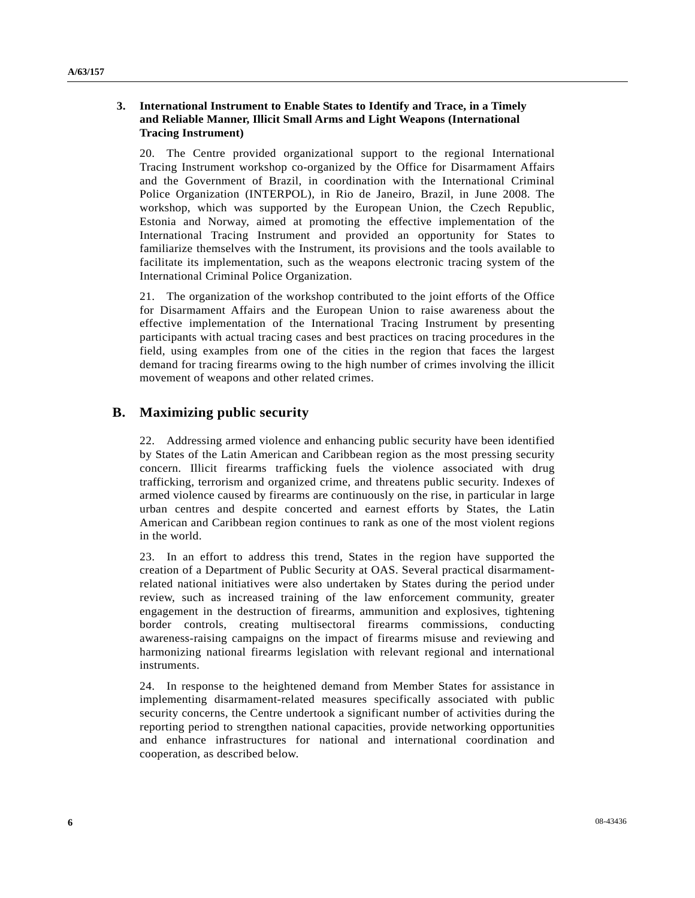#### **3. International Instrument to Enable States to Identify and Trace, in a Timely and Reliable Manner, Illicit Small Arms and Light Weapons (International Tracing Instrument)**

20. The Centre provided organizational support to the regional International Tracing Instrument workshop co-organized by the Office for Disarmament Affairs and the Government of Brazil, in coordination with the International Criminal Police Organization (INTERPOL), in Rio de Janeiro, Brazil, in June 2008. The workshop, which was supported by the European Union, the Czech Republic, Estonia and Norway, aimed at promoting the effective implementation of the International Tracing Instrument and provided an opportunity for States to familiarize themselves with the Instrument, its provisions and the tools available to facilitate its implementation, such as the weapons electronic tracing system of the International Criminal Police Organization.

21. The organization of the workshop contributed to the joint efforts of the Office for Disarmament Affairs and the European Union to raise awareness about the effective implementation of the International Tracing Instrument by presenting participants with actual tracing cases and best practices on tracing procedures in the field, using examples from one of the cities in the region that faces the largest demand for tracing firearms owing to the high number of crimes involving the illicit movement of weapons and other related crimes.

### **B. Maximizing public security**

22. Addressing armed violence and enhancing public security have been identified by States of the Latin American and Caribbean region as the most pressing security concern. Illicit firearms trafficking fuels the violence associated with drug trafficking, terrorism and organized crime, and threatens public security. Indexes of armed violence caused by firearms are continuously on the rise, in particular in large urban centres and despite concerted and earnest efforts by States, the Latin American and Caribbean region continues to rank as one of the most violent regions in the world.

23. In an effort to address this trend, States in the region have supported the creation of a Department of Public Security at OAS. Several practical disarmamentrelated national initiatives were also undertaken by States during the period under review, such as increased training of the law enforcement community, greater engagement in the destruction of firearms, ammunition and explosives, tightening border controls, creating multisectoral firearms commissions, conducting awareness-raising campaigns on the impact of firearms misuse and reviewing and harmonizing national firearms legislation with relevant regional and international instruments.

24. In response to the heightened demand from Member States for assistance in implementing disarmament-related measures specifically associated with public security concerns, the Centre undertook a significant number of activities during the reporting period to strengthen national capacities, provide networking opportunities and enhance infrastructures for national and international coordination and cooperation, as described below.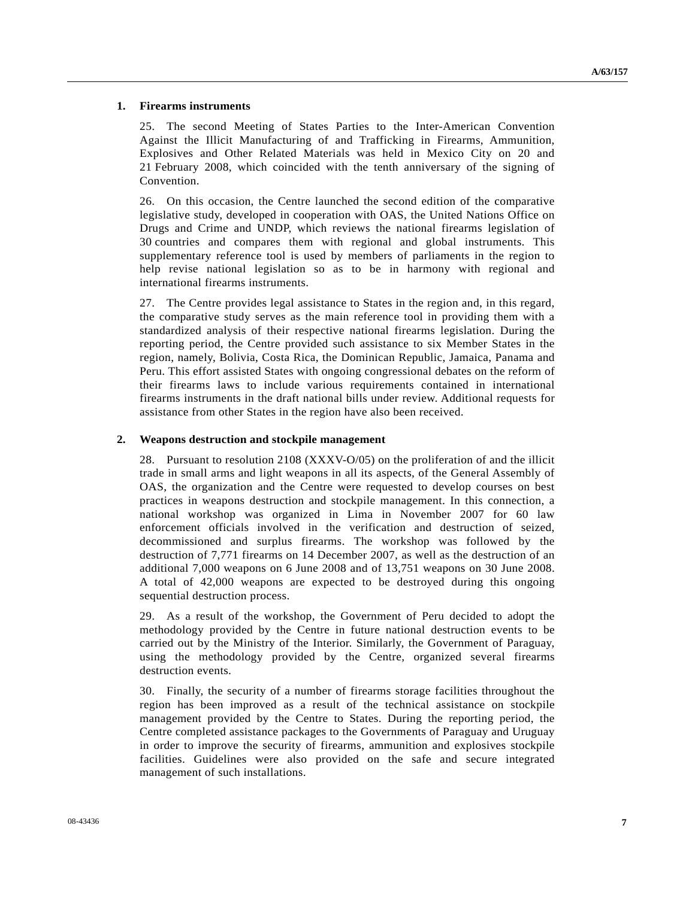#### **1. Firearms instruments**

25. The second Meeting of States Parties to the Inter-American Convention Against the Illicit Manufacturing of and Trafficking in Firearms, Ammunition, Explosives and Other Related Materials was held in Mexico City on 20 and 21 February 2008, which coincided with the tenth anniversary of the signing of Convention.

26. On this occasion, the Centre launched the second edition of the comparative legislative study, developed in cooperation with OAS, the United Nations Office on Drugs and Crime and UNDP, which reviews the national firearms legislation of 30 countries and compares them with regional and global instruments. This supplementary reference tool is used by members of parliaments in the region to help revise national legislation so as to be in harmony with regional and international firearms instruments.

27. The Centre provides legal assistance to States in the region and, in this regard, the comparative study serves as the main reference tool in providing them with a standardized analysis of their respective national firearms legislation. During the reporting period, the Centre provided such assistance to six Member States in the region, namely, Bolivia, Costa Rica, the Dominican Republic, Jamaica, Panama and Peru. This effort assisted States with ongoing congressional debates on the reform of their firearms laws to include various requirements contained in international firearms instruments in the draft national bills under review. Additional requests for assistance from other States in the region have also been received.

#### **2. Weapons destruction and stockpile management**

28. Pursuant to resolution 2108 (XXXV-O/05) on the proliferation of and the illicit trade in small arms and light weapons in all its aspects, of the General Assembly of OAS, the organization and the Centre were requested to develop courses on best practices in weapons destruction and stockpile management. In this connection, a national workshop was organized in Lima in November 2007 for 60 law enforcement officials involved in the verification and destruction of seized, decommissioned and surplus firearms. The workshop was followed by the destruction of 7,771 firearms on 14 December 2007, as well as the destruction of an additional 7,000 weapons on 6 June 2008 and of 13,751 weapons on 30 June 2008. A total of 42,000 weapons are expected to be destroyed during this ongoing sequential destruction process.

29. As a result of the workshop, the Government of Peru decided to adopt the methodology provided by the Centre in future national destruction events to be carried out by the Ministry of the Interior. Similarly, the Government of Paraguay, using the methodology provided by the Centre, organized several firearms destruction events.

30. Finally, the security of a number of firearms storage facilities throughout the region has been improved as a result of the technical assistance on stockpile management provided by the Centre to States. During the reporting period, the Centre completed assistance packages to the Governments of Paraguay and Uruguay in order to improve the security of firearms, ammunition and explosives stockpile facilities. Guidelines were also provided on the safe and secure integrated management of such installations.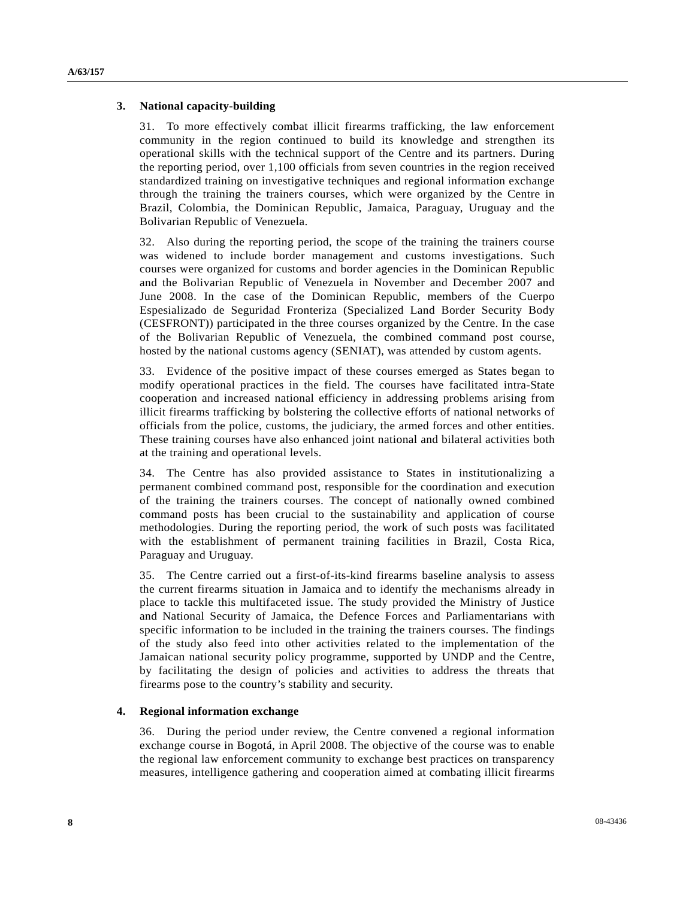#### **3. National capacity-building**

31. To more effectively combat illicit firearms trafficking, the law enforcement community in the region continued to build its knowledge and strengthen its operational skills with the technical support of the Centre and its partners. During the reporting period, over 1,100 officials from seven countries in the region received standardized training on investigative techniques and regional information exchange through the training the trainers courses, which were organized by the Centre in Brazil, Colombia, the Dominican Republic, Jamaica, Paraguay, Uruguay and the Bolivarian Republic of Venezuela.

32. Also during the reporting period, the scope of the training the trainers course was widened to include border management and customs investigations. Such courses were organized for customs and border agencies in the Dominican Republic and the Bolivarian Republic of Venezuela in November and December 2007 and June 2008. In the case of the Dominican Republic, members of the Cuerpo Espesializado de Seguridad Fronteriza (Specialized Land Border Security Body (CESFRONT)) participated in the three courses organized by the Centre. In the case of the Bolivarian Republic of Venezuela, the combined command post course, hosted by the national customs agency (SENIAT), was attended by custom agents.

33. Evidence of the positive impact of these courses emerged as States began to modify operational practices in the field. The courses have facilitated intra-State cooperation and increased national efficiency in addressing problems arising from illicit firearms trafficking by bolstering the collective efforts of national networks of officials from the police, customs, the judiciary, the armed forces and other entities. These training courses have also enhanced joint national and bilateral activities both at the training and operational levels.

34. The Centre has also provided assistance to States in institutionalizing a permanent combined command post, responsible for the coordination and execution of the training the trainers courses. The concept of nationally owned combined command posts has been crucial to the sustainability and application of course methodologies. During the reporting period, the work of such posts was facilitated with the establishment of permanent training facilities in Brazil, Costa Rica, Paraguay and Uruguay.

35. The Centre carried out a first-of-its-kind firearms baseline analysis to assess the current firearms situation in Jamaica and to identify the mechanisms already in place to tackle this multifaceted issue. The study provided the Ministry of Justice and National Security of Jamaica, the Defence Forces and Parliamentarians with specific information to be included in the training the trainers courses. The findings of the study also feed into other activities related to the implementation of the Jamaican national security policy programme, supported by UNDP and the Centre, by facilitating the design of policies and activities to address the threats that firearms pose to the country's stability and security.

#### **4. Regional information exchange**

36. During the period under review, the Centre convened a regional information exchange course in Bogotá, in April 2008. The objective of the course was to enable the regional law enforcement community to exchange best practices on transparency measures, intelligence gathering and cooperation aimed at combating illicit firearms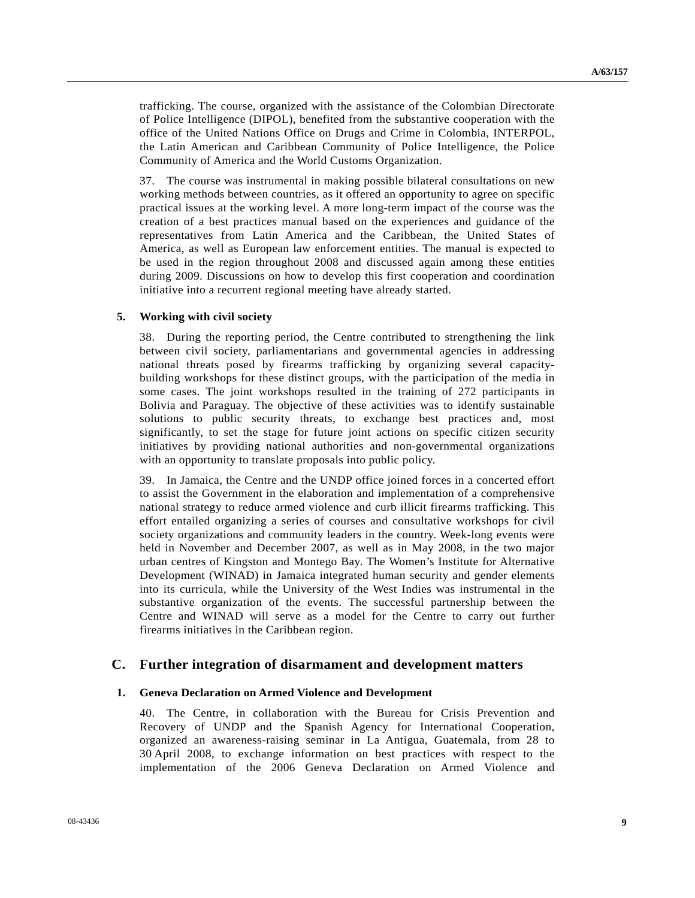trafficking. The course, organized with the assistance of the Colombian Directorate of Police Intelligence (DIPOL), benefited from the substantive cooperation with the office of the United Nations Office on Drugs and Crime in Colombia, INTERPOL, the Latin American and Caribbean Community of Police Intelligence, the Police Community of America and the World Customs Organization.

37. The course was instrumental in making possible bilateral consultations on new working methods between countries, as it offered an opportunity to agree on specific practical issues at the working level. A more long-term impact of the course was the creation of a best practices manual based on the experiences and guidance of the representatives from Latin America and the Caribbean, the United States of America, as well as European law enforcement entities. The manual is expected to be used in the region throughout 2008 and discussed again among these entities during 2009. Discussions on how to develop this first cooperation and coordination initiative into a recurrent regional meeting have already started.

#### **5. Working with civil society**

38. During the reporting period, the Centre contributed to strengthening the link between civil society, parliamentarians and governmental agencies in addressing national threats posed by firearms trafficking by organizing several capacitybuilding workshops for these distinct groups, with the participation of the media in some cases. The joint workshops resulted in the training of 272 participants in Bolivia and Paraguay. The objective of these activities was to identify sustainable solutions to public security threats, to exchange best practices and, most significantly, to set the stage for future joint actions on specific citizen security initiatives by providing national authorities and non-governmental organizations with an opportunity to translate proposals into public policy.

39. In Jamaica, the Centre and the UNDP office joined forces in a concerted effort to assist the Government in the elaboration and implementation of a comprehensive national strategy to reduce armed violence and curb illicit firearms trafficking. This effort entailed organizing a series of courses and consultative workshops for civil society organizations and community leaders in the country. Week-long events were held in November and December 2007, as well as in May 2008, in the two major urban centres of Kingston and Montego Bay. The Women's Institute for Alternative Development (WINAD) in Jamaica integrated human security and gender elements into its curricula, while the University of the West Indies was instrumental in the substantive organization of the events. The successful partnership between the Centre and WINAD will serve as a model for the Centre to carry out further firearms initiatives in the Caribbean region.

#### **C. Further integration of disarmament and development matters**

#### **1. Geneva Declaration on Armed Violence and Development**

40. The Centre, in collaboration with the Bureau for Crisis Prevention and Recovery of UNDP and the Spanish Agency for International Cooperation, organized an awareness-raising seminar in La Antigua, Guatemala, from 28 to 30 April 2008, to exchange information on best practices with respect to the implementation of the 2006 Geneva Declaration on Armed Violence and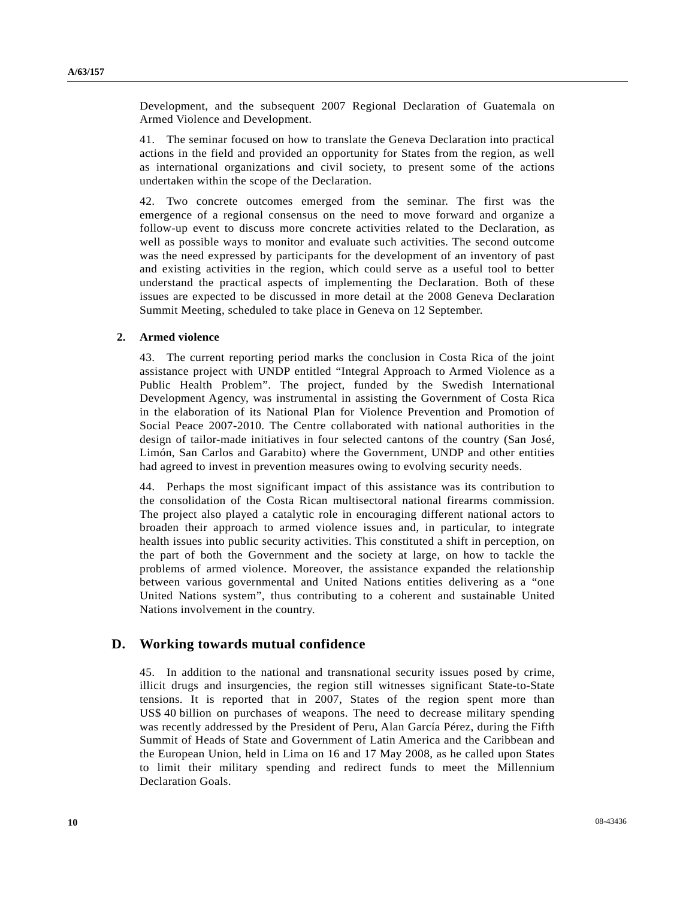Development, and the subsequent 2007 Regional Declaration of Guatemala on Armed Violence and Development.

41. The seminar focused on how to translate the Geneva Declaration into practical actions in the field and provided an opportunity for States from the region, as well as international organizations and civil society, to present some of the actions undertaken within the scope of the Declaration.

42. Two concrete outcomes emerged from the seminar. The first was the emergence of a regional consensus on the need to move forward and organize a follow-up event to discuss more concrete activities related to the Declaration, as well as possible ways to monitor and evaluate such activities. The second outcome was the need expressed by participants for the development of an inventory of past and existing activities in the region, which could serve as a useful tool to better understand the practical aspects of implementing the Declaration. Both of these issues are expected to be discussed in more detail at the 2008 Geneva Declaration Summit Meeting, scheduled to take place in Geneva on 12 September.

#### **2. Armed violence**

43. The current reporting period marks the conclusion in Costa Rica of the joint assistance project with UNDP entitled "Integral Approach to Armed Violence as a Public Health Problem". The project, funded by the Swedish International Development Agency, was instrumental in assisting the Government of Costa Rica in the elaboration of its National Plan for Violence Prevention and Promotion of Social Peace 2007-2010. The Centre collaborated with national authorities in the design of tailor-made initiatives in four selected cantons of the country (San José, Limón, San Carlos and Garabito) where the Government, UNDP and other entities had agreed to invest in prevention measures owing to evolving security needs.

44. Perhaps the most significant impact of this assistance was its contribution to the consolidation of the Costa Rican multisectoral national firearms commission. The project also played a catalytic role in encouraging different national actors to broaden their approach to armed violence issues and, in particular, to integrate health issues into public security activities. This constituted a shift in perception, on the part of both the Government and the society at large, on how to tackle the problems of armed violence. Moreover, the assistance expanded the relationship between various governmental and United Nations entities delivering as a "one United Nations system", thus contributing to a coherent and sustainable United Nations involvement in the country.

#### **D. Working towards mutual confidence**

45. In addition to the national and transnational security issues posed by crime, illicit drugs and insurgencies, the region still witnesses significant State-to-State tensions. It is reported that in 2007, States of the region spent more than US\$ 40 billion on purchases of weapons. The need to decrease military spending was recently addressed by the President of Peru, Alan García Pérez, during the Fifth Summit of Heads of State and Government of Latin America and the Caribbean and the European Union, held in Lima on 16 and 17 May 2008, as he called upon States to limit their military spending and redirect funds to meet the Millennium Declaration Goals.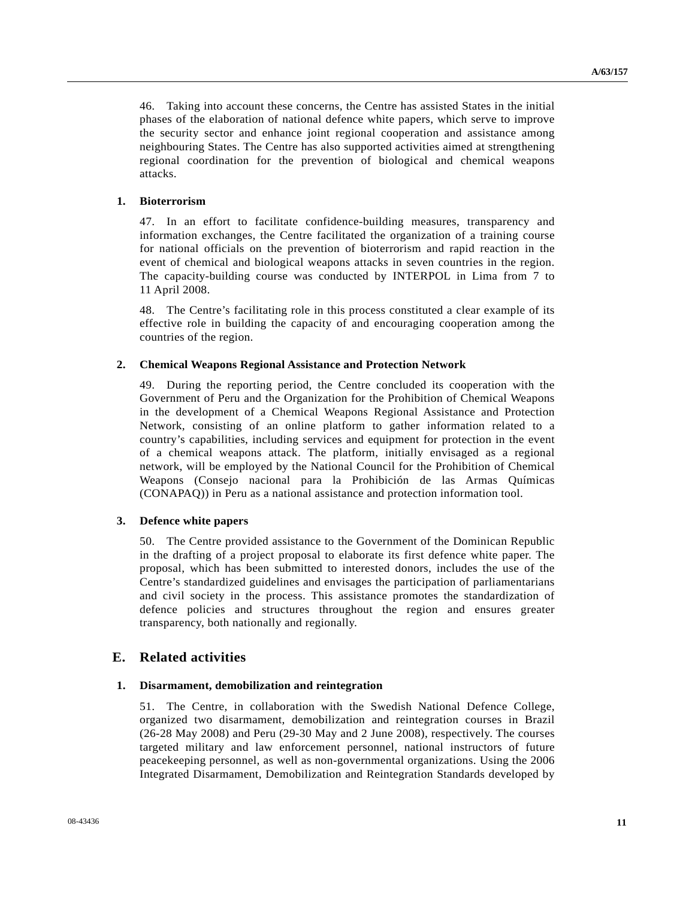46. Taking into account these concerns, the Centre has assisted States in the initial phases of the elaboration of national defence white papers, which serve to improve the security sector and enhance joint regional cooperation and assistance among neighbouring States. The Centre has also supported activities aimed at strengthening regional coordination for the prevention of biological and chemical weapons attacks.

#### **1. Bioterrorism**

47. In an effort to facilitate confidence-building measures, transparency and information exchanges, the Centre facilitated the organization of a training course for national officials on the prevention of bioterrorism and rapid reaction in the event of chemical and biological weapons attacks in seven countries in the region. The capacity-building course was conducted by INTERPOL in Lima from 7 to 11 April 2008.

48. The Centre's facilitating role in this process constituted a clear example of its effective role in building the capacity of and encouraging cooperation among the countries of the region.

#### **2. Chemical Weapons Regional Assistance and Protection Network**

49. During the reporting period, the Centre concluded its cooperation with the Government of Peru and the Organization for the Prohibition of Chemical Weapons in the development of a Chemical Weapons Regional Assistance and Protection Network, consisting of an online platform to gather information related to a country's capabilities, including services and equipment for protection in the event of a chemical weapons attack. The platform, initially envisaged as a regional network, will be employed by the National Council for the Prohibition of Chemical Weapons (Consejo nacional para la Prohibición de las Armas Químicas (CONAPAQ)) in Peru as a national assistance and protection information tool.

#### **3. Defence white papers**

50. The Centre provided assistance to the Government of the Dominican Republic in the drafting of a project proposal to elaborate its first defence white paper. The proposal, which has been submitted to interested donors, includes the use of the Centre's standardized guidelines and envisages the participation of parliamentarians and civil society in the process. This assistance promotes the standardization of defence policies and structures throughout the region and ensures greater transparency, both nationally and regionally.

#### **E. Related activities**

#### **1. Disarmament, demobilization and reintegration**

51. The Centre, in collaboration with the Swedish National Defence College, organized two disarmament, demobilization and reintegration courses in Brazil (26-28 May 2008) and Peru (29-30 May and 2 June 2008), respectively. The courses targeted military and law enforcement personnel, national instructors of future peacekeeping personnel, as well as non-governmental organizations. Using the 2006 Integrated Disarmament, Demobilization and Reintegration Standards developed by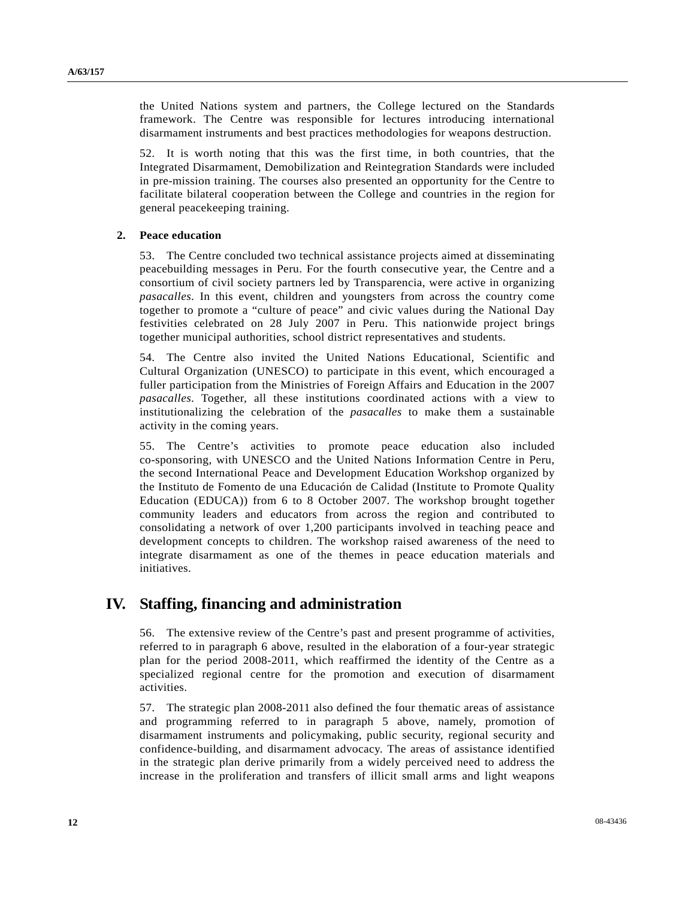the United Nations system and partners, the College lectured on the Standards framework. The Centre was responsible for lectures introducing international disarmament instruments and best practices methodologies for weapons destruction.

52. It is worth noting that this was the first time, in both countries, that the Integrated Disarmament, Demobilization and Reintegration Standards were included in pre-mission training. The courses also presented an opportunity for the Centre to facilitate bilateral cooperation between the College and countries in the region for general peacekeeping training.

#### **2. Peace education**

53. The Centre concluded two technical assistance projects aimed at disseminating peacebuilding messages in Peru. For the fourth consecutive year, the Centre and a consortium of civil society partners led by Transparencia, were active in organizing *pasacalles*. In this event, children and youngsters from across the country come together to promote a "culture of peace" and civic values during the National Day festivities celebrated on 28 July 2007 in Peru. This nationwide project brings together municipal authorities, school district representatives and students.

54. The Centre also invited the United Nations Educational, Scientific and Cultural Organization (UNESCO) to participate in this event, which encouraged a fuller participation from the Ministries of Foreign Affairs and Education in the 2007 *pasacalles*. Together, all these institutions coordinated actions with a view to institutionalizing the celebration of the *pasacalles* to make them a sustainable activity in the coming years.

55. The Centre's activities to promote peace education also included co-sponsoring, with UNESCO and the United Nations Information Centre in Peru, the second International Peace and Development Education Workshop organized by the Instituto de Fomento de una Educación de Calidad (Institute to Promote Quality Education (EDUCA)) from 6 to 8 October 2007. The workshop brought together community leaders and educators from across the region and contributed to consolidating a network of over 1,200 participants involved in teaching peace and development concepts to children. The workshop raised awareness of the need to integrate disarmament as one of the themes in peace education materials and initiatives.

## **IV. Staffing, financing and administration**

56. The extensive review of the Centre's past and present programme of activities, referred to in paragraph 6 above, resulted in the elaboration of a four-year strategic plan for the period 2008-2011, which reaffirmed the identity of the Centre as a specialized regional centre for the promotion and execution of disarmament activities.

57. The strategic plan 2008-2011 also defined the four thematic areas of assistance and programming referred to in paragraph 5 above, namely, promotion of disarmament instruments and policymaking, public security, regional security and confidence-building, and disarmament advocacy. The areas of assistance identified in the strategic plan derive primarily from a widely perceived need to address the increase in the proliferation and transfers of illicit small arms and light weapons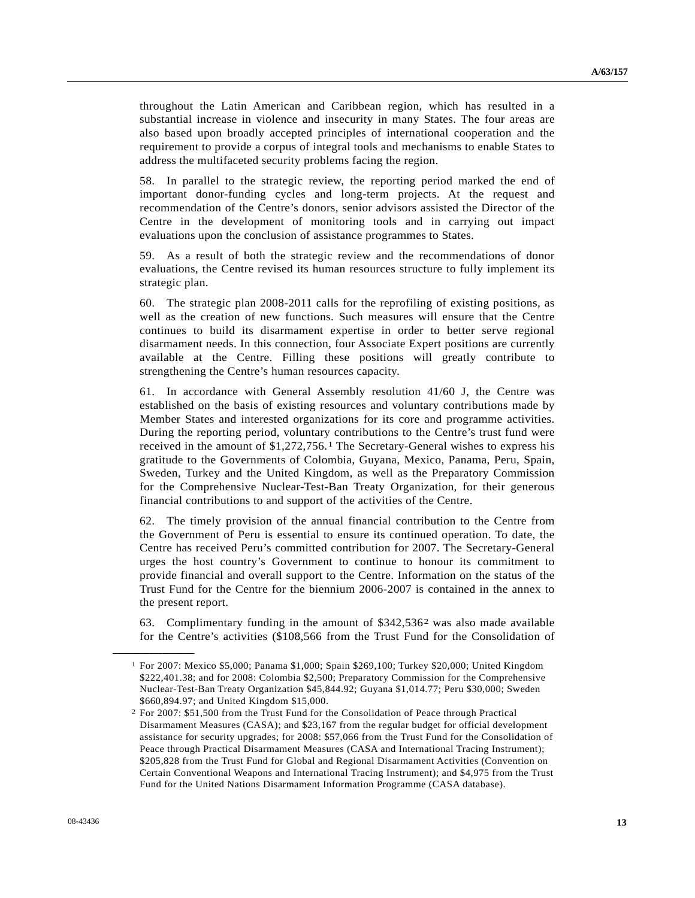throughout the Latin American and Caribbean region, which has resulted in a substantial increase in violence and insecurity in many States. The four areas are also based upon broadly accepted principles of international cooperation and the requirement to provide a corpus of integral tools and mechanisms to enable States to address the multifaceted security problems facing the region.

58. In parallel to the strategic review, the reporting period marked the end of important donor-funding cycles and long-term projects. At the request and recommendation of the Centre's donors, senior advisors assisted the Director of the Centre in the development of monitoring tools and in carrying out impact evaluations upon the conclusion of assistance programmes to States.

59. As a result of both the strategic review and the recommendations of donor evaluations, the Centre revised its human resources structure to fully implement its strategic plan.

60. The strategic plan 2008-2011 calls for the reprofiling of existing positions, as well as the creation of new functions. Such measures will ensure that the Centre continues to build its disarmament expertise in order to better serve regional disarmament needs. In this connection, four Associate Expert positions are currently available at the Centre. Filling these positions will greatly contribute to strengthening the Centre's human resources capacity.

61. In accordance with General Assembly resolution 41/60 J, the Centre was established on the basis of existing resources and voluntary contributions made by Member States and interested organizations for its core and programme activities. During the reporting period, voluntary contributions to the Centre's trust fund were received in the amount of \$1,272,756.[1](#page-12-0) The Secretary-General wishes to express his gratitude to the Governments of Colombia, Guyana, Mexico, Panama, Peru, Spain, Sweden, Turkey and the United Kingdom, as well as the Preparatory Commission for the Comprehensive Nuclear-Test-Ban Treaty Organization, for their generous financial contributions to and support of the activities of the Centre.

62. The timely provision of the annual financial contribution to the Centre from the Government of Peru is essential to ensure its continued operation. To date, the Centre has received Peru's committed contribution for 2007. The Secretary-General urges the host country's Government to continue to honour its commitment to provide financial and overall support to the Centre. Information on the status of the Trust Fund for the Centre for the biennium 2006-2007 is contained in the annex to the present report.

63. Complimentary funding in the amount of \$342,536[2](#page-12-1) was also made available for the Centre's activities (\$108,566 from the Trust Fund for the Consolidation of

<span id="page-12-1"></span><span id="page-12-0"></span>**\_\_\_\_\_\_\_\_\_\_\_\_\_\_\_\_\_\_** 

<sup>1</sup> For 2007: Mexico \$5,000; Panama \$1,000; Spain \$269,100; Turkey \$20,000; United Kingdom \$222,401.38; and for 2008: Colombia \$2,500; Preparatory Commission for the Comprehensive Nuclear-Test-Ban Treaty Organization \$45,844.92; Guyana \$1,014.77; Peru \$30,000; Sweden \$660,894.97; and United Kingdom \$15,000.

<sup>2</sup> For 2007: \$51,500 from the Trust Fund for the Consolidation of Peace through Practical Disarmament Measures (CASA); and \$23,167 from the regular budget for official development assistance for security upgrades; for 2008: \$57,066 from the Trust Fund for the Consolidation of Peace through Practical Disarmament Measures (CASA and International Tracing Instrument); \$205,828 from the Trust Fund for Global and Regional Disarmament Activities (Convention on Certain Conventional Weapons and International Tracing Instrument); and \$4,975 from the Trust Fund for the United Nations Disarmament Information Programme (CASA database).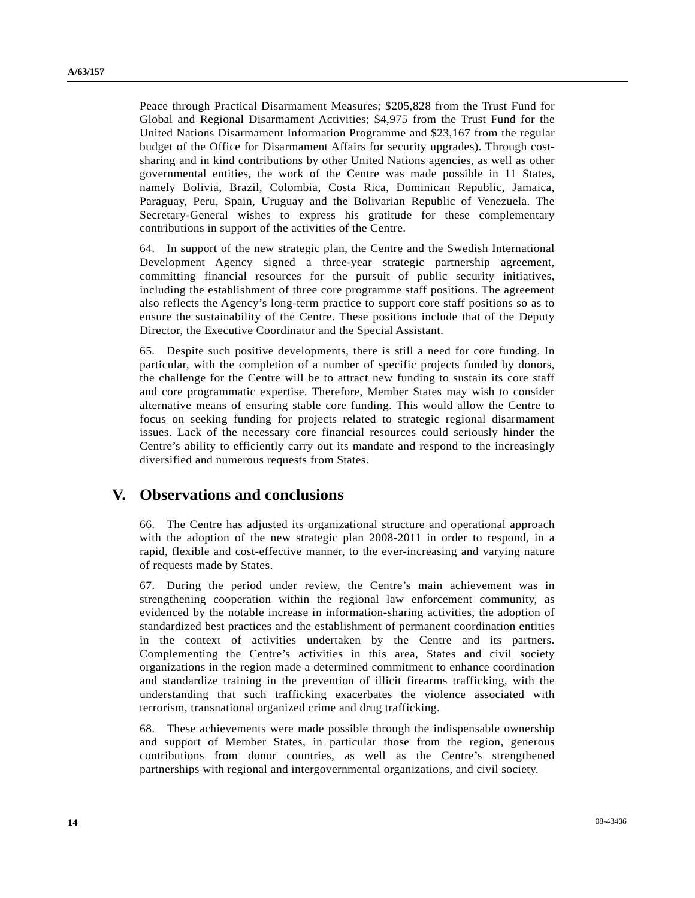Peace through Practical Disarmament Measures; \$205,828 from the Trust Fund for Global and Regional Disarmament Activities; \$4,975 from the Trust Fund for the United Nations Disarmament Information Programme and \$23,167 from the regular budget of the Office for Disarmament Affairs for security upgrades). Through costsharing and in kind contributions by other United Nations agencies, as well as other governmental entities, the work of the Centre was made possible in 11 States, namely Bolivia, Brazil, Colombia, Costa Rica, Dominican Republic, Jamaica, Paraguay, Peru, Spain, Uruguay and the Bolivarian Republic of Venezuela. The Secretary-General wishes to express his gratitude for these complementary contributions in support of the activities of the Centre.

64. In support of the new strategic plan, the Centre and the Swedish International Development Agency signed a three-year strategic partnership agreement, committing financial resources for the pursuit of public security initiatives, including the establishment of three core programme staff positions. The agreement also reflects the Agency's long-term practice to support core staff positions so as to ensure the sustainability of the Centre. These positions include that of the Deputy Director, the Executive Coordinator and the Special Assistant.

65. Despite such positive developments, there is still a need for core funding. In particular, with the completion of a number of specific projects funded by donors, the challenge for the Centre will be to attract new funding to sustain its core staff and core programmatic expertise. Therefore, Member States may wish to consider alternative means of ensuring stable core funding. This would allow the Centre to focus on seeking funding for projects related to strategic regional disarmament issues. Lack of the necessary core financial resources could seriously hinder the Centre's ability to efficiently carry out its mandate and respond to the increasingly diversified and numerous requests from States.

### **V. Observations and conclusions**

66. The Centre has adjusted its organizational structure and operational approach with the adoption of the new strategic plan 2008-2011 in order to respond, in a rapid, flexible and cost-effective manner, to the ever-increasing and varying nature of requests made by States.

67. During the period under review, the Centre's main achievement was in strengthening cooperation within the regional law enforcement community, as evidenced by the notable increase in information-sharing activities, the adoption of standardized best practices and the establishment of permanent coordination entities in the context of activities undertaken by the Centre and its partners. Complementing the Centre's activities in this area, States and civil society organizations in the region made a determined commitment to enhance coordination and standardize training in the prevention of illicit firearms trafficking, with the understanding that such trafficking exacerbates the violence associated with terrorism, transnational organized crime and drug trafficking.

68. These achievements were made possible through the indispensable ownership and support of Member States, in particular those from the region, generous contributions from donor countries, as well as the Centre's strengthened partnerships with regional and intergovernmental organizations, and civil society.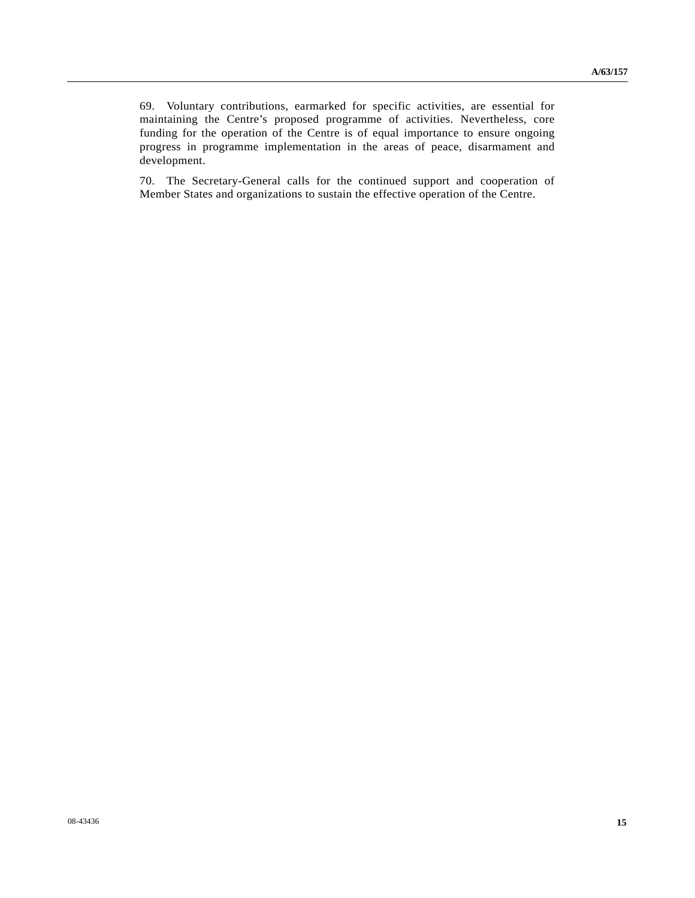69. Voluntary contributions, earmarked for specific activities, are essential for maintaining the Centre's proposed programme of activities. Nevertheless, core funding for the operation of the Centre is of equal importance to ensure ongoing progress in programme implementation in the areas of peace, disarmament and development.

70. The Secretary-General calls for the continued support and cooperation of Member States and organizations to sustain the effective operation of the Centre.